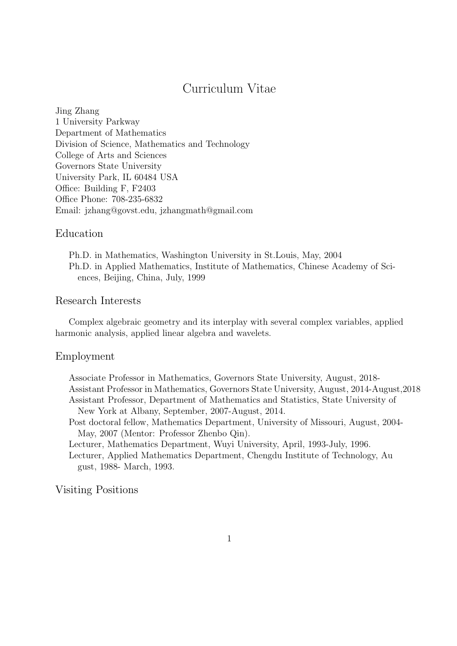# Curriculum Vitae

Jing Zhang 1 University Parkway Department of Mathematics Division of Science, Mathematics and Technology College of Arts and Sciences Governors State University University Park, IL 60484 USA Office: Building F, F2403 Office Phone: 708-235-6832 Email: jzhang@govst.edu, jzhangmath@gmail.com

# Education

Ph.D. in Mathematics, Washington University in St.Louis, May, 2004 Ph.D. in Applied Mathematics, Institute of Mathematics, Chinese Academy of Sciences, Beijing, China, July, 1999

## Research Interests

Complex algebraic geometry and its interplay with several complex variables, applied harmonic analysis, applied linear algebra and wavelets.

#### Employment

Associate Professor in Mathematics, Governors State University, August, 2018- Assistant Professor in Mathematics, Governors State University, August, 2014-August,2018 Assistant Professor, Department of Mathematics and Statistics, State University of New York at Albany, September, 2007-August, 2014.

Post doctoral fellow, Mathematics Department, University of Missouri, August, 2004- May, 2007 (Mentor: Professor Zhenbo Qin).

Lecturer, Mathematics Department, Wuyi University, April, 1993-July, 1996.

Lecturer, Applied Mathematics Department, Chengdu Institute of Technology, Au gust, 1988- March, 1993.

# Visiting Positions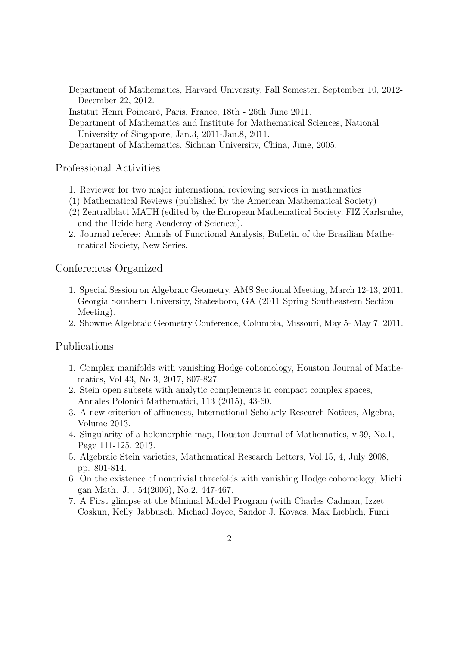Department of Mathematics, Harvard University, Fall Semester, September 10, 2012- December 22, 2012.

Institut Henri Poincar´e, Paris, France, 18th - 26th June 2011.

Department of Mathematics and Institute for Mathematical Sciences, National University of Singapore, Jan.3, 2011-Jan.8, 2011.

Department of Mathematics, Sichuan University, China, June, 2005.

# Professional Activities

- 1. Reviewer for two major international reviewing services in mathematics
- (1) Mathematical Reviews (published by the American Mathematical Society)
- (2) Zentralblatt MATH (edited by the European Mathematical Society, FIZ Karlsruhe, and the Heidelberg Academy of Sciences).
- 2. Journal referee: Annals of Functional Analysis, Bulletin of the Brazilian Mathematical Society, New Series.

#### Conferences Organized

- 1. Special Session on Algebraic Geometry, AMS Sectional Meeting, March 12-13, 2011. Georgia Southern University, Statesboro, GA (2011 Spring Southeastern Section Meeting).
- 2. Showme Algebraic Geometry Conference, Columbia, Missouri, May 5- May 7, 2011.

#### Publications

- 1. Complex manifolds with vanishing Hodge cohomology, Houston Journal of Mathematics, Vol 43, No 3, 2017, 807-827.
- 2. Stein open subsets with analytic complements in compact complex spaces, Annales Polonici Mathematici, 113 (2015), 43-60.
- 3. A new criterion of affineness, International Scholarly Research Notices, Algebra, Volume 2013.
- 4. Singularity of a holomorphic map, Houston Journal of Mathematics, v.39, No.1, Page 111-125, 2013.
- 5. Algebraic Stein varieties, Mathematical Research Letters, Vol.15, 4, July 2008, pp. 801-814.
- 6. On the existence of nontrivial threefolds with vanishing Hodge cohomology, Michi gan Math. J. , 54(2006), No.2, 447-467.
- 7. A First glimpse at the Minimal Model Program (with Charles Cadman, Izzet Coskun, Kelly Jabbusch, Michael Joyce, Sandor J. Kovacs, Max Lieblich, Fumi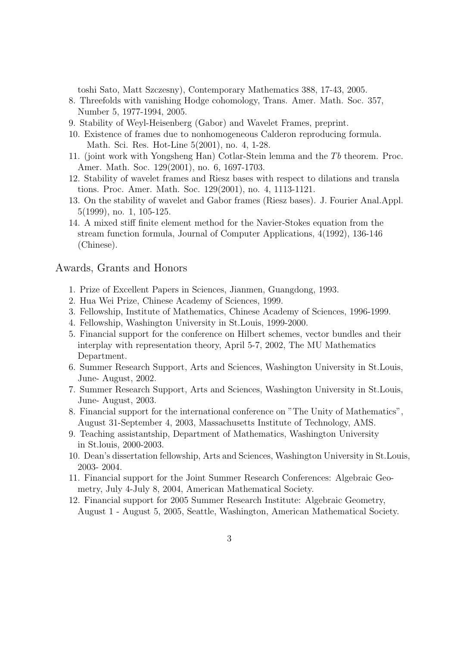toshi Sato, Matt Szczesny), Contemporary Mathematics 388, 17-43, 2005.

- 8. Threefolds with vanishing Hodge cohomology, Trans. Amer. Math. Soc. 357, Number 5, 1977-1994, 2005.
- 9. Stability of Weyl-Heisenberg (Gabor) and Wavelet Frames, preprint.
- 10. Existence of frames due to nonhomogeneous Calderon reproducing formula. Math. Sci. Res. Hot-Line 5(2001), no. 4, 1-28.
- 11. (joint work with Yongsheng Han) Cotlar-Stein lemma and the Tb theorem. Proc. Amer. Math. Soc. 129(2001), no. 6, 1697-1703.
- 12. Stability of wavelet frames and Riesz bases with respect to dilations and transla tions. Proc. Amer. Math. Soc. 129(2001), no. 4, 1113-1121.
- 13. On the stability of wavelet and Gabor frames (Riesz bases). J. Fourier Anal.Appl. 5(1999), no. 1, 105-125.
- 14. A mixed stiff finite element method for the Navier-Stokes equation from the stream function formula, Journal of Computer Applications, 4(1992), 136-146 (Chinese).

#### Awards, Grants and Honors

- 1. Prize of Excellent Papers in Sciences, Jianmen, Guangdong, 1993.
- 2. Hua Wei Prize, Chinese Academy of Sciences, 1999.
- 3. Fellowship, Institute of Mathematics, Chinese Academy of Sciences, 1996-1999.
- 4. Fellowship, Washington University in St.Louis, 1999-2000.
- 5. Financial support for the conference on Hilbert schemes, vector bundles and their interplay with representation theory, April 5-7, 2002, The MU Mathematics Department.
- 6. Summer Research Support, Arts and Sciences, Washington University in St.Louis, June- August, 2002.
- 7. Summer Research Support, Arts and Sciences, Washington University in St.Louis, June- August, 2003.
- 8. Financial support for the international conference on "The Unity of Mathematics", August 31-September 4, 2003, Massachusetts Institute of Technology, AMS.
- 9. Teaching assistantship, Department of Mathematics, Washington University in St.louis, 2000-2003.
- 10. Dean's dissertation fellowship, Arts and Sciences, Washington University in St.Louis, 2003- 2004.
- 11. Financial support for the Joint Summer Research Conferences: Algebraic Geometry, July 4-July 8, 2004, American Mathematical Society.
- 12. Financial support for 2005 Summer Research Institute: Algebraic Geometry, August 1 - August 5, 2005, Seattle, Washington, American Mathematical Society.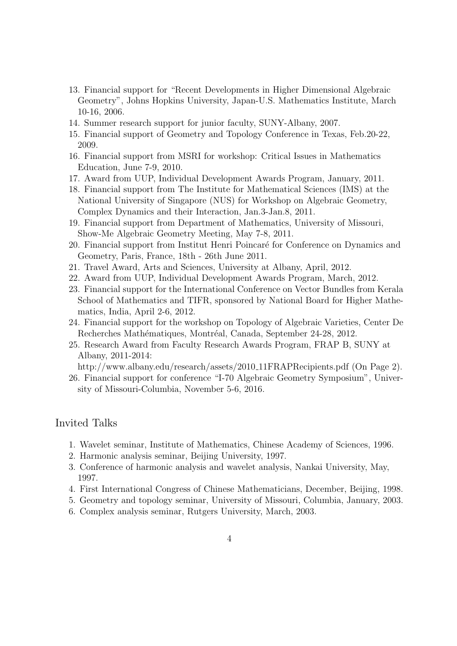- 13. Financial support for "Recent Developments in Higher Dimensional Algebraic Geometry", Johns Hopkins University, Japan-U.S. Mathematics Institute, March 10-16, 2006.
- 14. Summer research support for junior faculty, SUNY-Albany, 2007.
- 15. Financial support of Geometry and Topology Conference in Texas, Feb.20-22, 2009.
- 16. Financial support from MSRI for workshop: Critical Issues in Mathematics Education, June 7-9, 2010.
- 17. Award from UUP, Individual Development Awards Program, January, 2011.
- 18. Financial support from The Institute for Mathematical Sciences (IMS) at the National University of Singapore (NUS) for Workshop on Algebraic Geometry, Complex Dynamics and their Interaction, Jan.3-Jan.8, 2011.
- 19. Financial support from Department of Mathematics, University of Missouri, Show-Me Algebraic Geometry Meeting, May 7-8, 2011.
- 20. Financial support from Institut Henri Poincar´e for Conference on Dynamics and Geometry, Paris, France, 18th - 26th June 2011.
- 21. Travel Award, Arts and Sciences, University at Albany, April, 2012.
- 22. Award from UUP, Individual Development Awards Program, March, 2012.
- 23. Financial support for the International Conference on Vector Bundles from Kerala School of Mathematics and TIFR, sponsored by National Board for Higher Mathematics, India, April 2-6, 2012.
- 24. Financial support for the workshop on Topology of Algebraic Varieties, Center De Recherches Mathématiques, Montréal, Canada, September 24-28, 2012.
- 25. Research Award from Faculty Research Awards Program, FRAP B, SUNY at Albany, 2011-2014:

http://www.albany.edu/research/assets/2010\_11FRAPRecipients.pdf (On Page 2).

26. Financial support for conference "I-70 Algebraic Geometry Symposium", University of Missouri-Columbia, November 5-6, 2016.

### Invited Talks

- 1. Wavelet seminar, Institute of Mathematics, Chinese Academy of Sciences, 1996.
- 2. Harmonic analysis seminar, Beijing University, 1997.
- 3. Conference of harmonic analysis and wavelet analysis, Nankai University, May, 1997.
- 4. First International Congress of Chinese Mathematicians, December, Beijing, 1998.
- 5. Geometry and topology seminar, University of Missouri, Columbia, January, 2003.
- 6. Complex analysis seminar, Rutgers University, March, 2003.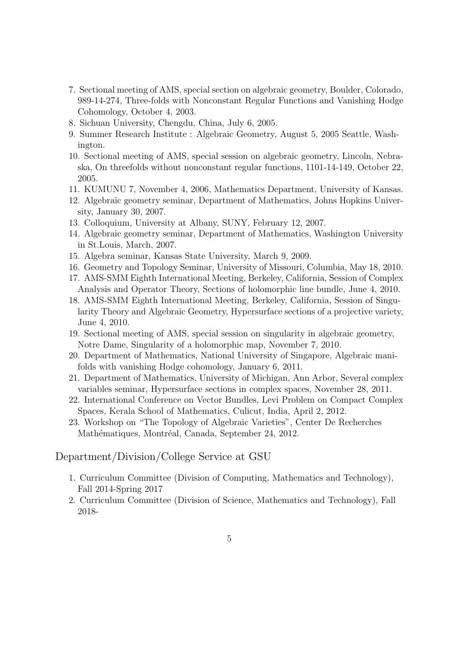- 7. Sectional meeting of AMS, special section on algebraic geometry, Boulder, Colorado, 989-14-274, Three-folds with Nonconstant Regular Functions and Vanishing Hodge Cohomology, October 4, 2003.
- 8. Sichuan University, Chengdu, China, July 6, 2005.
- 9. Summer Research Institute : Algebraic Geometry, August 5, 2005 Seattle, Washington.
- 10. Sectional meeting of AMS, special session on algebraic geometry, Lincoln, Nebraska, On threefolds without nonconstant regular functions, 1101-14-149, October 22, 2005.
- 11. KUMUNU 7, November 4, 2006, Mathematics Department, University of Kansas.
- 12. Algebraic geometry seminar, Department of Mathematics, Johns Hopkins University, January 30, 2007.
- 13. Colloquium, University at Albany, SUNY, February 12, 2007.
- 14. Algebraic geometry seminar, Department of Mathematics, Washington University in St.Louis, March, 2007.
- 15. Algebra seminar, Kansas State University, March 9, 2009.
- 16. Geometry and Topology Seminar, University of Missouri, Columbia, May 18, 2010.
- 17. AMS-SMM Eighth International Meeting, Berkeley, California, Session of Complex Analysis and Operator Theory, Sections of holomorphic line bundle, June 4, 2010.
- 18. AMS-SMM Eighth International Meeting, Berkeley, California, Session of Singularity Theory and Algebraic Geometry, Hypersurface sections of a projective variety, June 4, 2010.
- 19. Sectional meeting of AMS, special session on singularity in algebraic geometry, Notre Dame, Singularity of a holomorphic map, November 7, 2010.
- 20. Department of Mathematics, National University of Singapore, Algebraic manifolds with vanishing Hodge cohomology, January 6, 2011.
- 21. Department of Mathematics, University of Michigan, Ann Arbor, Several complex variables seminar, Hypersurface sections in complex spaces, November 28, 2011.
- 22. International Conference on Vector Bundles, Levi Problem on Compact Complex Spaces, Kerala School of Mathematics, Culicut, India, April 2, 2012.
- 23. Workshop on "The Topology of Algebraic Varieties", Center De Recherches Mathématiques, Montréal, Canada, September 24, 2012.

#### Department/Division/College Service at GSU

- 1. Curriculum Committee (Division of Computing, Mathematics and Technology), Fall 2014-Spring 2017
- 2. Curriculum Committee (Division of Science, Mathematics and Technology), Fall 2018-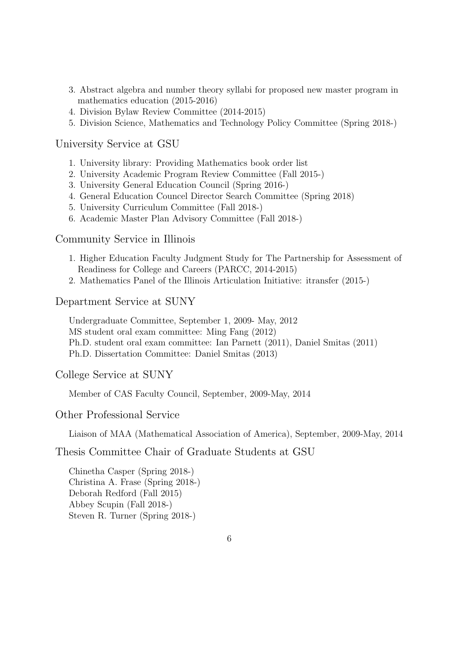- 3. Abstract algebra and number theory syllabi for proposed new master program in mathematics education (2015-2016)
- 4. Division Bylaw Review Committee (2014-2015)
- 5. Division Science, Mathematics and Technology Policy Committee (Spring 2018-)

University Service at GSU

- 1. University library: Providing Mathematics book order list
- 2. University Academic Program Review Committee (Fall 2015-)
- 3. University General Education Council (Spring 2016-)
- 4. General Education Councel Director Search Committee (Spring 2018)
- 5. University Curriculum Committee (Fall 2018-)
- 6. Academic Master Plan Advisory Committee (Fall 2018-)

Community Service in Illinois

- 1. Higher Education Faculty Judgment Study for The Partnership for Assessment of Readiness for College and Careers (PARCC, 2014-2015)
- 2. Mathematics Panel of the Illinois Articulation Initiative: itransfer (2015-)

Department Service at SUNY

Undergraduate Committee, September 1, 2009- May, 2012 MS student oral exam committee: Ming Fang (2012) Ph.D. student oral exam committee: Ian Parnett (2011), Daniel Smitas (2011) Ph.D. Dissertation Committee: Daniel Smitas (2013)

College Service at SUNY

Member of CAS Faculty Council, September, 2009-May, 2014

Other Professional Service

Liaison of MAA (Mathematical Association of America), September, 2009-May, 2014

Thesis Committee Chair of Graduate Students at GSU

Chinetha Casper (Spring 2018-) Christina A. Frase (Spring 2018-) Deborah Redford (Fall 2015) Abbey Scupin (Fall 2018-) Steven R. Turner (Spring 2018-)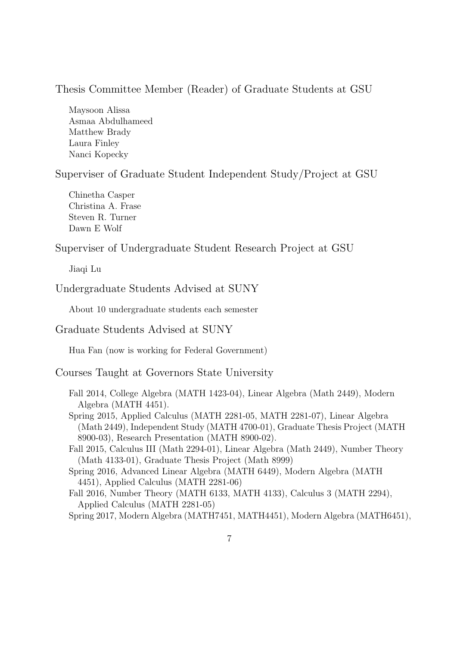## Thesis Committee Member (Reader) of Graduate Students at GSU

Maysoon Alissa Asmaa Abdulhameed Matthew Brady Laura Finley Nanci Kopecky

Superviser of Graduate Student Independent Study/Project at GSU

Chinetha Casper Christina A. Frase Steven R. Turner Dawn E Wolf

Superviser of Undergraduate Student Research Project at GSU

Jiaqi Lu

Undergraduate Students Advised at SUNY

About 10 undergraduate students each semester

Graduate Students Advised at SUNY

Hua Fan (now is working for Federal Government)

Courses Taught at Governors State University

Fall 2014, College Algebra (MATH 1423-04), Linear Algebra (Math 2449), Modern Algebra (MATH 4451).

Spring 2015, Applied Calculus (MATH 2281-05, MATH 2281-07), Linear Algebra (Math 2449), Independent Study (MATH 4700-01), Graduate Thesis Project (MATH 8900-03), Research Presentation (MATH 8900-02).

Fall 2015, Calculus III (Math 2294-01), Linear Algebra (Math 2449), Number Theory (Math 4133-01), Graduate Thesis Project (Math 8999)

Spring 2016, Advanced Linear Algebra (MATH 6449), Modern Algebra (MATH 4451), Applied Calculus (MATH 2281-06)

Fall 2016, Number Theory (MATH 6133, MATH 4133), Calculus 3 (MATH 2294), Applied Calculus (MATH 2281-05)

Spring 2017, Modern Algebra (MATH7451, MATH4451), Modern Algebra (MATH6451),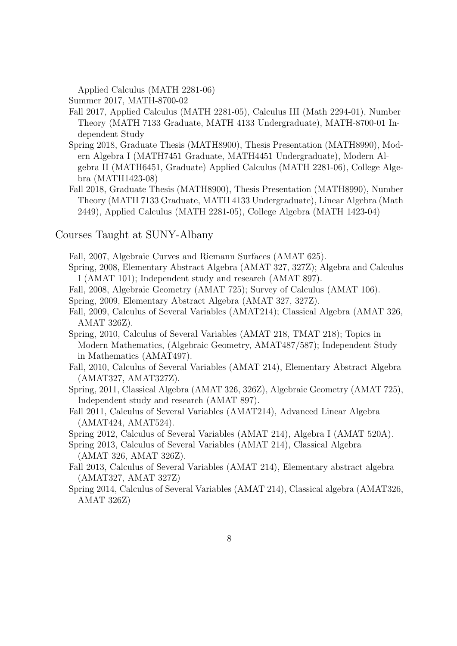Applied Calculus (MATH 2281-06)

Summer 2017, MATH-8700-02

- Fall 2017, Applied Calculus (MATH 2281-05), Calculus III (Math 2294-01), Number Theory (MATH 7133 Graduate, MATH 4133 Undergraduate), MATH-8700-01 Independent Study
- Spring 2018, Graduate Thesis (MATH8900), Thesis Presentation (MATH8990), Modern Algebra I (MATH7451 Graduate, MATH4451 Undergraduate), Modern Algebra II (MATH6451, Graduate) Applied Calculus (MATH 2281-06), College Algebra (MATH1423-08)
- Fall 2018, Graduate Thesis (MATH8900), Thesis Presentation (MATH8990), Number Theory (MATH 7133 Graduate, MATH 4133 Undergraduate), Linear Algebra (Math 2449), Applied Calculus (MATH 2281-05), College Algebra (MATH 1423-04)

Courses Taught at SUNY-Albany

Fall, 2007, Algebraic Curves and Riemann Surfaces (AMAT 625).

- Spring, 2008, Elementary Abstract Algebra (AMAT 327, 327Z); Algebra and Calculus I (AMAT 101); Independent study and research (AMAT 897).
- Fall, 2008, Algebraic Geometry (AMAT 725); Survey of Calculus (AMAT 106).

Spring, 2009, Elementary Abstract Algebra (AMAT 327, 327Z).

- Fall, 2009, Calculus of Several Variables (AMAT214); Classical Algebra (AMAT 326, AMAT 326Z).
- Spring, 2010, Calculus of Several Variables (AMAT 218, TMAT 218); Topics in Modern Mathematics, (Algebraic Geometry, AMAT487/587); Independent Study in Mathematics (AMAT497).
- Fall, 2010, Calculus of Several Variables (AMAT 214), Elementary Abstract Algebra (AMAT327, AMAT327Z).
- Spring, 2011, Classical Algebra (AMAT 326, 326Z), Algebraic Geometry (AMAT 725), Independent study and research (AMAT 897).
- Fall 2011, Calculus of Several Variables (AMAT214), Advanced Linear Algebra (AMAT424, AMAT524).

Spring 2012, Calculus of Several Variables (AMAT 214), Algebra I (AMAT 520A).

- Spring 2013, Calculus of Several Variables (AMAT 214), Classical Algebra (AMAT 326, AMAT 326Z).
- Fall 2013, Calculus of Several Variables (AMAT 214), Elementary abstract algebra (AMAT327, AMAT 327Z)
- Spring 2014, Calculus of Several Variables (AMAT 214), Classical algebra (AMAT326, AMAT 326Z)